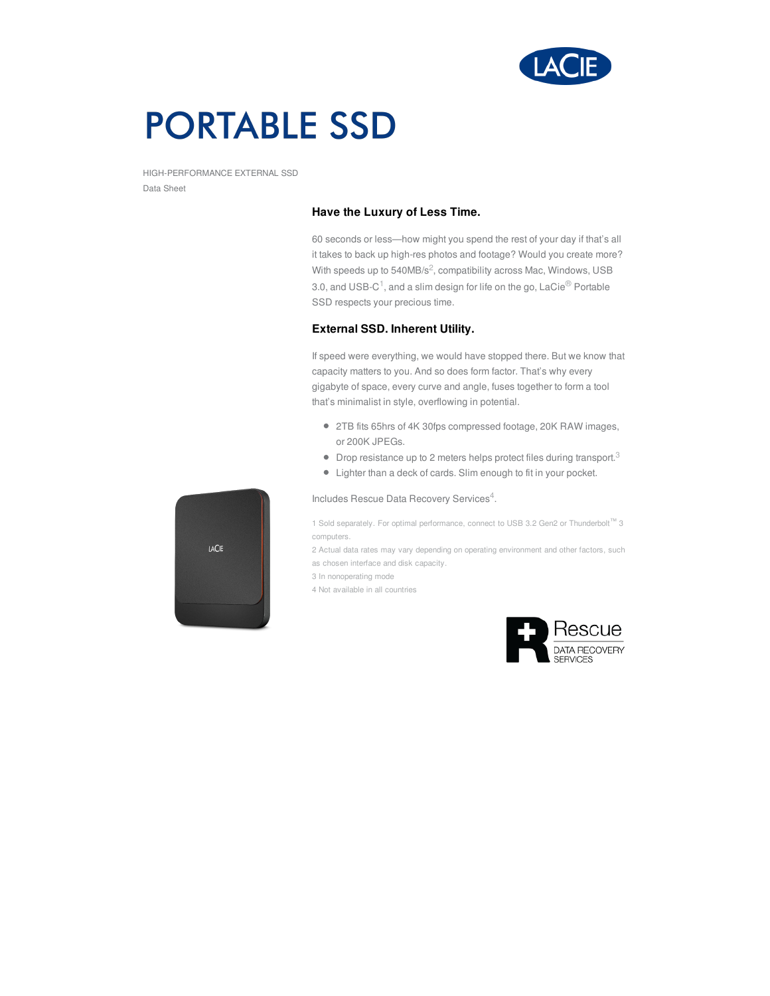

# **PORTABLE SSD**

HIGH-PERFORMANCE EXTERNAL SSD Data Sheet

### **Have the Luxury of Less Time.**

60 seconds or less—how might you spend the rest of your day if that's all it takes to back up high-res photos and footage? Would you create more? With speeds up to 540MB/s<sup>2</sup>, compatibility across Mac, Windows, USB 3.0, and USB-C<sup>1</sup>, and a slim design for life on the go, LaCie<sup>®</sup> Portable SSD respects your precious time.

## **External SSD. Inherent Utility.**

If speed were everything, we would have stopped there. But we know that capacity matters to you. And so does form factor. That's why every gigabyte of space, every curve and angle, fuses together to form a tool that's minimalist in style, overflowing in potential.

- 2TB fits 65hrs of 4K 30fps compressed footage, 20K RAW images, or 200K JPEGs.
- $\bullet$  Drop resistance up to 2 meters helps protect files during transport.<sup>3</sup>
- Lighter than a deck of cards. Slim enough to fit in your pocket.

Includes Rescue Data Recovery Services 4 .

1 Sold separately. For optimal performance, connect to USB 3.2 Gen2 or Thunderbolt™ 3 computers.

2 Actual data rates may vary depending on operating environment and other factors, such as chosen interface and disk capacity.

3 In nonoperating mode

4 Not available in all countries